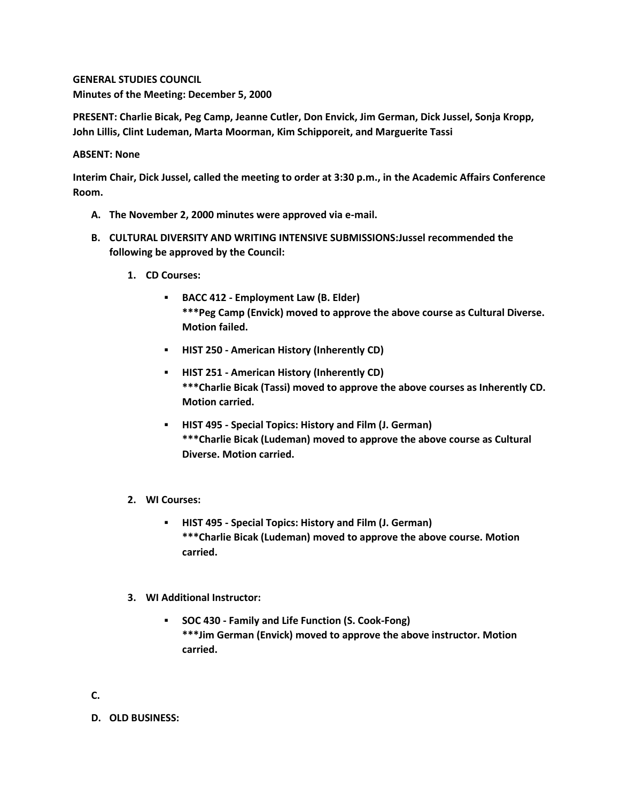**GENERAL STUDIES COUNCIL Minutes of the Meeting: December 5, 2000**

**PRESENT: Charlie Bicak, Peg Camp, Jeanne Cutler, Don Envick, Jim German, Dick Jussel, Sonja Kropp, John Lillis, Clint Ludeman, Marta Moorman, Kim Schipporeit, and Marguerite Tassi**

## **ABSENT: None**

**Interim Chair, Dick Jussel, called the meeting to order at 3:30 p.m., in the Academic Affairs Conference Room.**

- **A. The November 2, 2000 minutes were approved via e-mail.**
- **B. CULTURAL DIVERSITY AND WRITING INTENSIVE SUBMISSIONS:Jussel recommended the following be approved by the Council:** 
	- **1. CD Courses:** 
		- **BACC 412 - Employment Law (B. Elder) \*\*\*Peg Camp (Envick) moved to approve the above course as Cultural Diverse. Motion failed.**
		- **HIST 250 - American History (Inherently CD)**
		- **HIST 251 - American History (Inherently CD) \*\*\*Charlie Bicak (Tassi) moved to approve the above courses as Inherently CD. Motion carried.**
		- **HIST 495 - Special Topics: History and Film (J. German) \*\*\*Charlie Bicak (Ludeman) moved to approve the above course as Cultural Diverse. Motion carried.**
	- **2. WI Courses:** 
		- **HIST 495 - Special Topics: History and Film (J. German) \*\*\*Charlie Bicak (Ludeman) moved to approve the above course. Motion carried.**
	- **3. WI Additional Instructor:** 
		- **SOC 430 - Family and Life Function (S. Cook-Fong) \*\*\*Jim German (Envick) moved to approve the above instructor. Motion carried.**

**C.**

**D. OLD BUSINESS:**